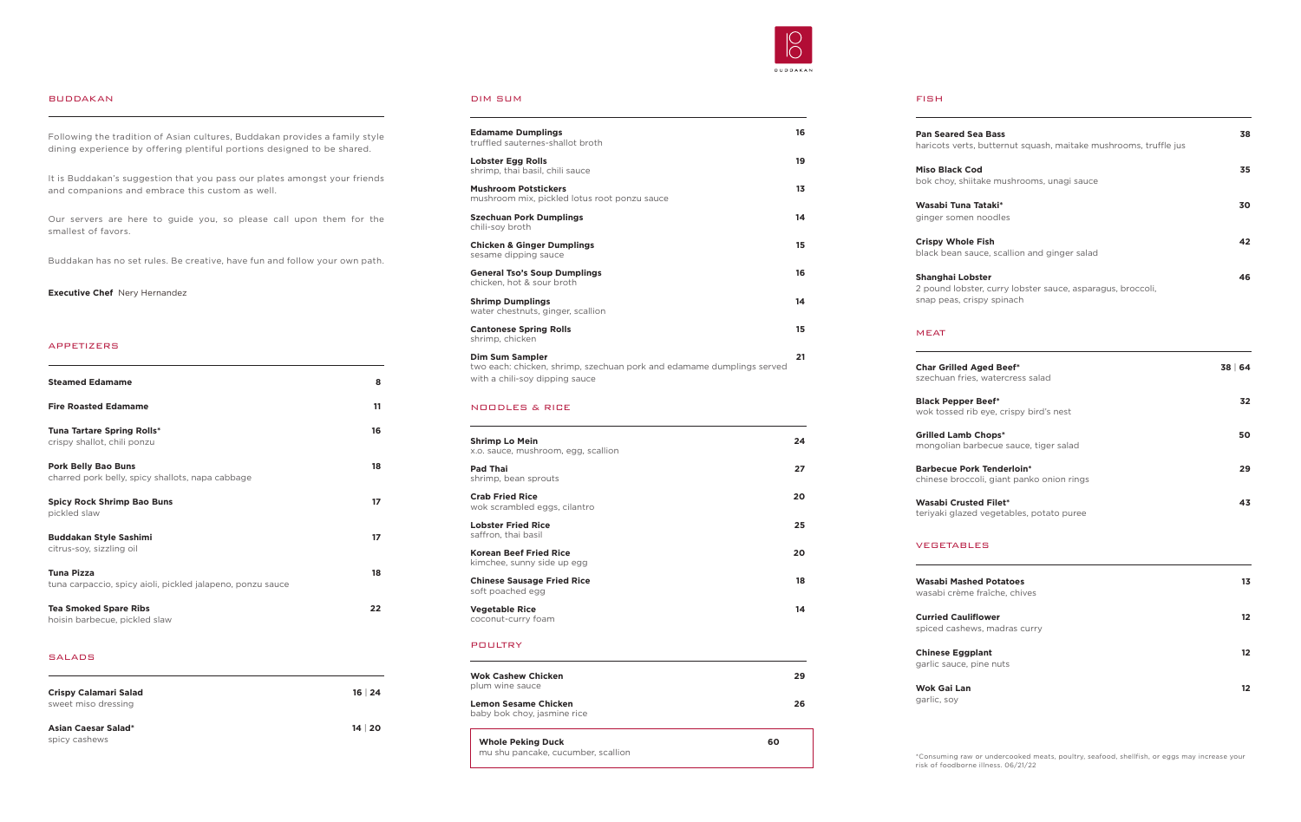#### DIM SUM

| <b>Edamame Dumplings</b><br>truffled sauternes-shallot broth                                                                      | 16 |
|-----------------------------------------------------------------------------------------------------------------------------------|----|
| <b>Lobster Egg Rolls</b><br>shrimp, thai basil, chili sauce                                                                       | 19 |
| <b>Mushroom Potstickers</b><br>mushroom mix, pickled lotus root ponzu sauce                                                       | 13 |
| <b>Szechuan Pork Dumplings</b><br>chili-soy broth                                                                                 | 14 |
| <b>Chicken &amp; Ginger Dumplings</b><br>sesame dipping sauce                                                                     | 15 |
| <b>General Tso's Soup Dumplings</b><br>chicken, hot & sour broth                                                                  | 16 |
| <b>Shrimp Dumplings</b><br>water chestnuts, ginger, scallion                                                                      | 14 |
| <b>Cantonese Spring Rolls</b><br>shrimp, chicken                                                                                  | 15 |
| <b>Dim Sum Sampler</b><br>two each: chicken, shrimp, szechuan pork and edamame dumplings served<br>with a chili-soy dipping sauce | 21 |

# NOODLES & RICE

| <b>Shrimp Lo Mein</b><br>x.o. sauce, mushroom, egg, scallion | 24 |
|--------------------------------------------------------------|----|
| <b>Pad Thai</b><br>shrimp, bean sprouts                      | 27 |
| <b>Crab Fried Rice</b><br>wok scrambled eggs, cilantro       | 20 |
| <b>Lobster Fried Rice</b><br>saffron, thai basil             | 25 |
| <b>Korean Beef Fried Rice</b><br>kimchee, sunny side up egg  | 20 |
| <b>Chinese Sausage Fried Rice</b><br>soft poached egg        | 18 |
| <b>Vegetable Rice</b><br>coconut-curry foam                  | 14 |

# POULTRY



#### BUDDAKAN

Following the tradition of Asian cultures, Buddakan provides a family style dining experience by offering plentiful portions designed to be shared.

It is Buddakan's suggestion that you pass our plates amongst your friends and companions and embrace this custom as well.

Our servers are here to guide you, so please call upon them for the smallest of favors.

Buddakan has no set rules. Be creative, have fun and follow your own path.

**Executive Chef** Nery Hernandez

### APPETIZERS

| <b>Steamed Edamame</b>                                                          | 8  |
|---------------------------------------------------------------------------------|----|
| <b>Fire Roasted Edamame</b>                                                     | 11 |
| <b>Tuna Tartare Spring Rolls*</b><br>crispy shallot, chili ponzu                | 16 |
| <b>Pork Belly Bao Buns</b><br>charred pork belly, spicy shallots, napa cabbage  | 18 |
| <b>Spicy Rock Shrimp Bao Buns</b><br>pickled slaw                               | 17 |
| <b>Buddakan Style Sashimi</b><br>citrus-soy, sizzling oil                       | 17 |
| <b>Tuna Pizza</b><br>tuna carpaccio, spicy aioli, pickled jalapeno, ponzu sauce | 18 |
| <b>Tea Smoked Spare Ribs</b><br>hoisin barbecue, pickled slaw                   | 22 |

#### SALADS

| <b>Crispy Calamari Salad</b><br>sweet miso dressing | $16 \mid 24$ |
|-----------------------------------------------------|--------------|
| <b>Asian Caesar Salad*</b><br>spicy cashews         | 14 20        |

| <b>Wok Cashew Chicken</b><br>plum wine sauce                   | 29 |
|----------------------------------------------------------------|----|
| Lemon Sesame Chicken<br>baby bok choy, jasmine rice            | 26 |
| <b>Whole Peking Duck</b><br>mu shu pancake, cucumber, scallion | 60 |

#### FISH

| <b>Pan Seared Sea Bass</b><br>haricots verts, butternut squash, maitake mushrooms, truffle jus              | 38 |
|-------------------------------------------------------------------------------------------------------------|----|
| <b>Miso Black Cod</b><br>bok choy, shiitake mushrooms, unagi sauce                                          | 35 |
| Wasabi Tuna Tataki*<br>ginger somen noodles                                                                 | 30 |
| <b>Crispy Whole Fish</b><br>black bean sauce, scallion and ginger salad                                     | 42 |
| Shanghai Lobster<br>2 pound lobster, curry lobster sauce, asparagus, broccoli,<br>snap peas, crispy spinach | 46 |

## MEAT

| <b>Char Grilled Aged Beef*</b><br>szechuan fries, watercress salad            | 38 64 |
|-------------------------------------------------------------------------------|-------|
| <b>Black Pepper Beef*</b><br>wok tossed rib eye, crispy bird's nest           | 32    |
| <b>Grilled Lamb Chops*</b><br>mongolian barbecue sauce, tiger salad           | 50.   |
| <b>Barbecue Pork Tenderloin*</b><br>chinese broccoli, giant panko onion rings | 29.   |
| <b>Wasabi Crusted Filet*</b><br>teriyaki glazed vegetables, potato puree      | 43.   |

# VEGETABLES

| <b>Wasabi Mashed Potatoes</b><br>wasabi crème fraîche, chives | 13  |
|---------------------------------------------------------------|-----|
| <b>Curried Cauliflower</b><br>spiced cashews, madras curry    | 12. |
| <b>Chinese Eggplant</b><br>garlic sauce, pine nuts            | 12  |
| Wok Gai Lan<br>garlic, soy                                    | 12  |

\*Consuming raw or undercooked meats, poultry, seafood, shellfish, or eggs may increase your risk of foodborne illness. 06/21/22